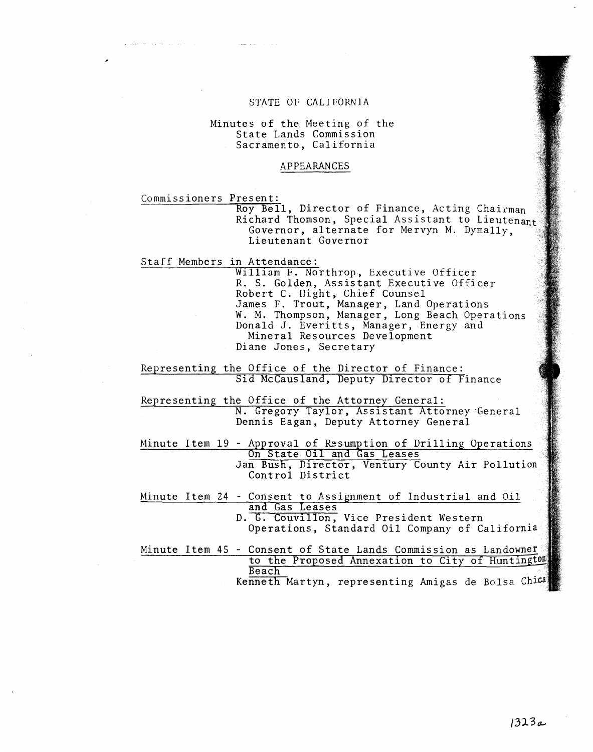#### STATE OF CALIFORNIA

#### Minutes of the Meeting of the State Lands Commission Sacramento, California

#### APPEARANCES

Commissioners Present:

Roy Bell, Director of Finance, Acting Chairman Richard Thomson, Special Assistant to Lieutenant Governor, alternate for Mervyn M. Dymally, Lieutenant Governor

Staff Members in Attendance:

William F. Northrop, Executive Officer R. S. Golden, Assistant Executive Officer Robert C. Hight, Chief Counsel James F. Trout, Manager, Land Operations W. M. Thompson, Manager, Long Beach Operations Donald J. Everitts, Manager, Ene Mineral Resources Development Diane Jones, Secretary

Representing the Office of the Director of Finance: Sid McCausland, Deputy Director of Finance

Representing the Office of the Attorney General N. Gregory Taylor, Assistant Attorney Dennis Eagan, Deputy Attorney General

Minute Item 19 - Approval of Resumption of Drilling Operations On State Oil and Gas Leases Jan Bush, Director, Ventury County Air Pollution Control District

Minute Item 24 - Consent to Assignment of Industrial and Oil and Gas Leases D. G. Couvillon, Vice President Western Operations, Standard Oil Company of California

Minute Item 45 - Consent of State Lands Commission as Landowner to the Proposed Annexation to City of Huntington Beach Kenneth Martyn, representing Amigas de Bolsa Chic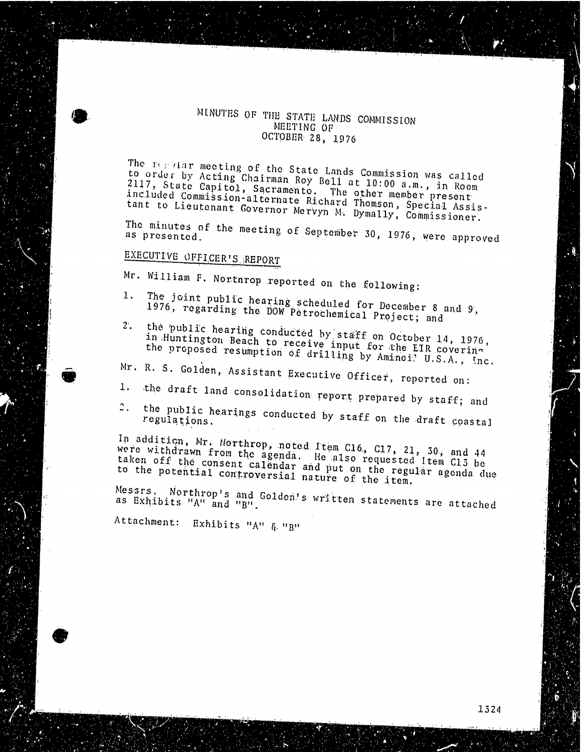### MINUTES OF THE STATE LANDS COMMISSION MEETING OF OCTOBER 28, 1976

The regardar meeting of the State Lands Commission to order by Acting Chairman Roy Bell at 10:00 a.m.  $2117$ , State Capitol, Sacramento. The other member in included Commission-alternate Richard Thomson pres included Commission-alternate Richard Thomson, Special Assis-<br>tant to Lieutenant Governor Mervyn M. Dymally, Commissioner.

The minutes of the meeting of September 30, 1976, we as presente

### EXECUTIVE OFFICER'S. REPORT

Mr. William F. Northrop reported on the following:

- 1. The joint public hearing scheduled for December 8.  $1976$ , regarding the DOW Petrochemical Project
- 2. the public hearing conducted by stake  $\sim$   $\sim$  14, 1976, 1976, 1976, 1976, 1976, 1976, 1976, 1976, 1976, 1976, 1976, 1976, 1976, 1976, 1976, 1976, 1976, 1976, 1976, 1976, 1976, 1976, 1976, 1976, 1976, 1976, 1976, 1976  $\frac{1}{11}$ . Huntington Beach to receive input for  $N$ . the proposed resumption of drilling by Aminoi? U.S.A., Inc.
- Mr. R. S. Golden, Assistant Executive Officer, reported on:
- 
- 1. the draft land consolidation report prepared by staff; and
- $2.1$ the public hearings conducted by staff  $\alpha$ regulation

In addition, Mr. Northrop, noted Item C16, C17, 21, 30, and 44 were withdrawn from the agenda. He also requested  $\frac{1}{2}$ ,  $\frac{1}{2}$ ,  $\frac{1}{2}$ ,  $\frac{1}{2}$ ,  $\frac{1}{2}$ ,  $\frac{1}{2}$ were withdrawn from the agenda. He also requested item C13 be taken off the consent calendar and put on the regular agenda due<br>to the potential controversial nature of the item.

Messrs. Northrop's and Golden's written statements as Exhibits  $^nA^n$  and

Attachment: Exhibits "A" & "B"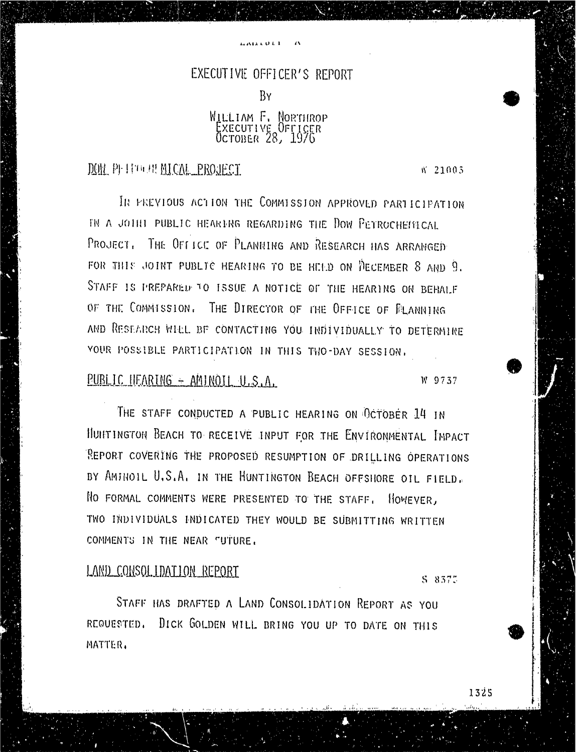#### EXECUTIVE OFFICER'S REPORT

BY

### WILLIAM F. NORTHROP EXECUTIVE OFFICER OCTOBER 28, 1976

### DON PITTMAN MICAL PROJECT. W 21003

IN PREVIOUS ACTION THE COMMISSION APPROVED PARTICIPATION IN A JOINT PUBLIC HEARING REGARDING THE DOW PETROCHEMICAL PROJECT. THE OFFICE OF PLANNING AND RESEARCH HAS ARRANGED FOR THIS JOINT PUBLIC HEARING TO BE HELD ON DECEMBER 8 AND 9. STAFF IS PREPARED TO ISSUE A NOTICE OF THE HEARING ON BEHALF OF THE COMMISSION. THE DIRECTOR OF THE OFFICE OF FLANNING AND RESEARCH WILL BF CONTACTING YOU INDIVIDUALLY TO DETERMINE YOUR POSSIBLE PARTICIPATION IN THIS TWO-DAY SESSION.

### PUBLIC HEARING - AMINOIL U.S.A. W 9737

THE STAFF CONDUCTED A PUBLIC HEARING ON OCTOBER 14 IN HUNTINGTON BEACH TO RECEIVE INPUT FOR THE ENVIRONMENTAL IMPACT REPORT COVERING THE PROPOSED RESUMPTION OF DRILLING OPERATIONS BY AMINOIL U.S.A. IN THE HUNTINGTON BEACH OFFSHORE OIL FIELD. No FORMAL COMMENTS WERE PRESENTED TO THE STAFF. HOWEVER, TWO INDIVIDUALS INDICATED THEY WOULD BE SUBMITTING WRITTEN COMMENTS IN THE NEAR FUTURE.

## LAND CONSOLIDATION REPORT \$ 8375

STAFF HAS DRAFTED A LAND CONSOLIDATION REPORT AS YOU REQUESTED. DICK GOLDEN WILL BRING YOU UP TO DATE ON THIS MATTER.

1325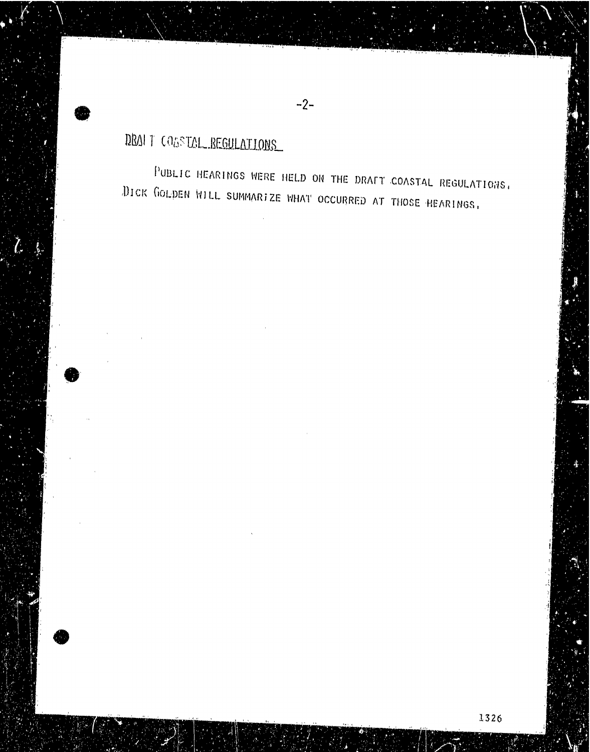# DRAI T COASTAL.REGULATIONS

PUBLIC HEARINGS WERE HELD ON THE DRAFT COASTAL REGULATIONS, DICK GOLDEN WILL SUMMARIZE WHAT OCCURRED AT THOSE HEARINGS,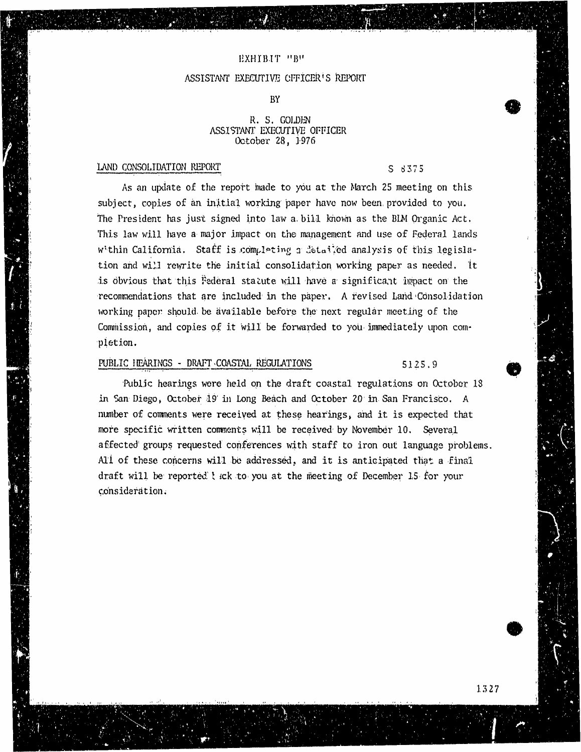#### EXHIBIT "B"

#### ASSISTANT EXECUTIVE CFFICER'S REPORT

### BY

#### R. S. GOLDEN<br>ASSISTANT EXECUTIVE OFFICER  $\Omega$ October 28. 1976 Donoves 28, 22.

#### LAND CONSOLIDATION REPORT

### $\mathcal{L}_\text{A}$  . The construction report of  $\mathcal{L}_\text{A}$  is a strong of  $\mathcal{L}_\text{A}$  is a strong of  $\mathcal{L}_\text{A}$  is a strong of  $\mathcal{L}_\text{A}$  is a strong of  $\mathcal{L}_\text{A}$  is a strong of  $\mathcal{L}_\text{A}$  is a strong of  $\mathcal$

As an update of the report made to you at the March 25 meeting on this subject, copies of an initial working paper have now been provided to you. The President has just signed into law a bill known as the BIM Organic Act. This law will have a major impact on the management and use of Federal lands within California. Staff is completing a detailed analysis of this legislation and will rewrite the initial consolidation working paper as needed. It is obvious that this Federal statute will have a significant impact on the recommendations that are included in the paper. A revised Land Consolidation working paper should be available before the next regular meeting of the working paper should be available before the next regular meeting of the Commission, and copies of it will be forwarded to you immediately upon completion.

### PUBLIC HEARING SECTION . THE REGULATION SECTION . THE REGULAR SECTION SECTION SECTION SECTION SECTION SECTIONS 5<br>PUBLIC HEARING SECTION SECTION SECTION SECTION SECTION SECTION SECTION SECTION SECTION SECTION SECTION SECTIO

Public hearings were held on the draft coastal regulations on October 18<br>in San Diego, October 19 in Long Beach and October 20 in San Francisco. A number of comments were received at these hearings, and it is expected that more specific written comments will be received by November 10. Several affected groups requested conferences with staff to iron out language problems. All of these concerns will be addressed, and it is anticipated that a final All of these concerns will be addressed, and it is an important the anticipated the anticipated that and draft will be reported tick to you at the meeting of December 15 cm consideration.